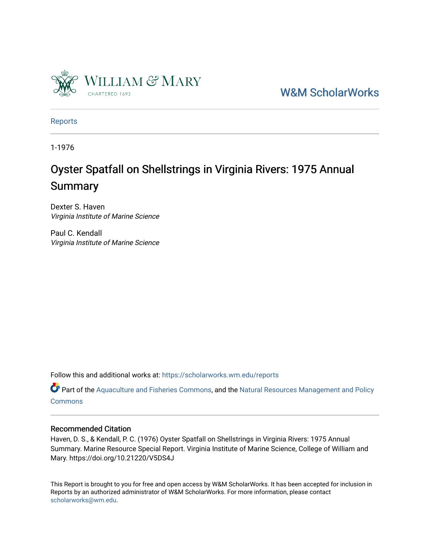

[W&M ScholarWorks](https://scholarworks.wm.edu/) 

[Reports](https://scholarworks.wm.edu/reports)

1-1976

# Oyster Spatfall on Shellstrings in Virginia Rivers: 1975 Annual Summary

Dexter S. Haven Virginia Institute of Marine Science

Paul C. Kendall Virginia Institute of Marine Science

Follow this and additional works at: [https://scholarworks.wm.edu/reports](https://scholarworks.wm.edu/reports?utm_source=scholarworks.wm.edu%2Freports%2F389&utm_medium=PDF&utm_campaign=PDFCoverPages)

Part of the [Aquaculture and Fisheries Commons](http://network.bepress.com/hgg/discipline/78?utm_source=scholarworks.wm.edu%2Freports%2F389&utm_medium=PDF&utm_campaign=PDFCoverPages), and the Natural Resources Management and Policy **[Commons](http://network.bepress.com/hgg/discipline/170?utm_source=scholarworks.wm.edu%2Freports%2F389&utm_medium=PDF&utm_campaign=PDFCoverPages)** 

### Recommended Citation

Haven, D. S., & Kendall, P. C. (1976) Oyster Spatfall on Shellstrings in Virginia Rivers: 1975 Annual Summary. Marine Resource Special Report. Virginia Institute of Marine Science, College of William and Mary. https://doi.org/10.21220/V5DS4J

This Report is brought to you for free and open access by W&M ScholarWorks. It has been accepted for inclusion in Reports by an authorized administrator of W&M ScholarWorks. For more information, please contact [scholarworks@wm.edu.](mailto:scholarworks@wm.edu)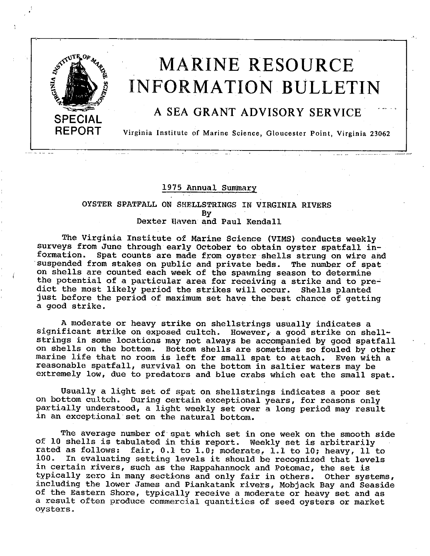

 $\omega_{\rm{max}} = \omega_{\rm{max}}$ 

# **MARINE RESOURCE INFORMATION BULLETIN**

### A SEA GRANT ADVISORY SERVICE

Virginia Institute pf Marine Science, Gloucester Point, Virginia 23062

#### 1975 Annual Summary

#### OYSTER SPATFALL ON SHELLSTRINGS IN VIRGINIA RIVERS By Dexter Haven and Paul Kendall

The Virginia Institute of Marine Science (VIMS) conducts weekly surveys from June through early October to obtain oyster spatfall in-<br>formation. Spat counts are made from oyster shells strung on wire and suspended from stakes on public and private beds. The number of spat on shells are counted each week of the spawning season to determine the potential of a particular area for receiving a strike and to predict the most likely period the strikes will occur. Shells planted just before the period of maximum set have the best chance of getting a good strike.

A moderate or heavy strike on shellstrings usually indicates a significant strike on exposed cultch. However, a good strike on shellstrings in some locations may not always be accompanied by good spatfall on shells on the bottom. Bottom shells are sometimes so fouled by other marine life that no room is left for small spat to attach. Even with a reasonable spatfall, survival on the bottom in saltier waters may be extremely low, due to predators and blue crabs which eat the small spat.

Usually a light set of spat on shellstrings indicates a poor set on bottom cultch. During certain exceptional years, for reasons only partially understood, a light weekly set over a long period may result in an exceptional set on the natural bottom.

The average number of spat which set in one week on the smooth side of 10 shells is tabulated in this report. Weekly set is arbitrarily rated as follows: fair,  $0.1$  to  $1.0$ ; moderate,  $1.1$  to  $10$ ; heavy,  $11$  to  $100$ . In evaluating setting levels it should be recognized that levels In evaluating setting levels it should be recognized that levels in certain rivers, such as the Rappahannock and Potomac, the set is typically zero in many sections and only fair in others. Other systems, including the lower James and Piankatank rivers, Mobjack Bay and Seaside of the Eastern Shore, typically receive a moderate or heavy set and as a result often produce commercial quantities of seed oysters or market oysters.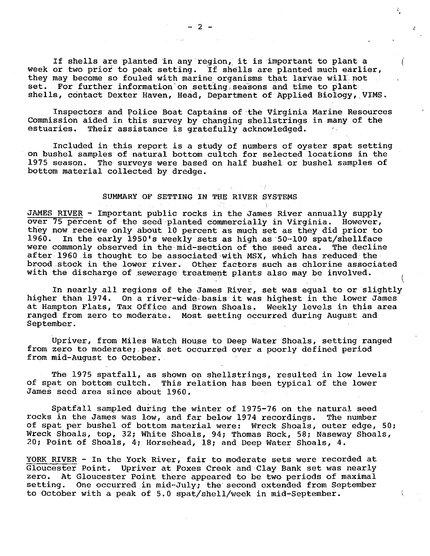If shells are planted in any·region, it is important to plant a *(*  week or two prior to peak setting. If shells are planted much earlier, they may become so fouled with marine organisms that larvae will not set. For further information on setting seasons and time to plant set. For further information on setting seasons and time to plant shells, contact Dexter Haven, Head, Department of Applied Biology, VIMS.

Inspectors and Police Boat Captains of the Virginia Marine Resources Commission aided in this survey by changing shellstrings in many of the estuaries. Their assistance is gratefully acknowledged. Their assistance is gratefully acknowledged.

Included in this report is a study of numbers of oyster spat setting on bushel samples of natural bottom cultch for selected locations in the 1975 season. The surveys were based on half bushel or bushel samples of The surveys were based on half bushel or bushel samples of bottom material collected by dredge.

#### SUMMARY OF SETTING IN THE RIVER SYSTEMS

JAMES RIVER - Important public rocks in the James River annually supply over 75 percent of the seed planted commercially in Virginia. However, they now receive only about 10 percent as much set as they did prior to In the early 1950's weekly sets as high as 50-100 spat/shellface were commonly observed in the mid-section of the seed area. The decline after 1960 is thought to be associated with MSX, which has reduced the brood .stock in the lower river. Other factors such as chlorine associated with the discharge of sewerage treatment plants also may be involved.

In nearly all regions of the James River, set was equal to or slightly higher than 1974. On a river-wide-basis it was highest in the lower James at Hampton Flats, Tax Office and Brown Shoals. Weekly levels in this area ranged from zero to moderate. Most setting occurred during August and September.

Upriver, from Miles Watch House to Deep Water Shoals, setting ranged from zero to moderate; peak set occurred over a poorly defined period from mid-August to October ..

The 1975 spatfall, as shown on shellstrings, resulted in low levels of spat on bottom cultch. This relation has been typical of the lower James seed area since about 1960.

Spatfall sampled during the winter of 1975-76 on the natural seed rocks in the James was low, and far below 1974 recordings. The number of spat per bushel of bottom material were: Wreck Shoals, outer edge, 50; Wreck shoals, top, 32; White Shoals, 94; Thomas Rock, 58; Naseway Shoals, 20; Point of Shoals, 4·; Horsehead, 18; and Deep Water Shoals, 4.

YORK RIVER - In the York River, fair to moderate sets were recorded at Gloucester Point. Upriver at Foxes Creek and Clay Bank set was nearly zero. At Gloucester Point there appeared to be two periods of maximal setting. One occurred in mid-July; the second extended from September to October with a peak of 5.0 spat/shell/week in mid-September.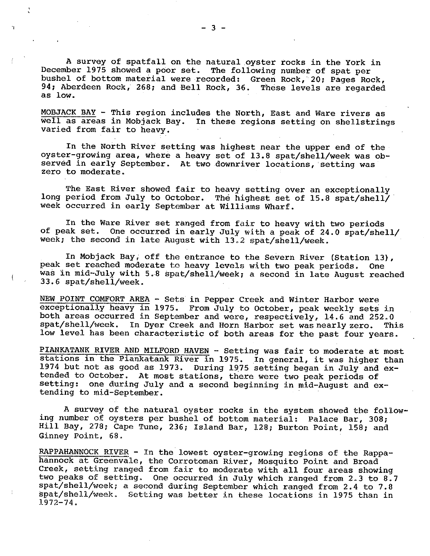A survey of spatfall on the natural oyster rocks in the York in December 1975 showed a poor set. The following number of spat per bushel of bottom material were recorded: Green Rock, 20; Pages Rock, 94; Aberdeen Rock, 268; and Bell Rock, 36. These levels are regarded 94: Aberdeen Rock, 268; and Bell Rock, 36. as low.

MOBJACK BAY - This region includes the North, East and Ware rivers as well as areas in Mobjack Bay. In these regions setting on shellstrings varied from fair to heavy.

In the North River setting was highest near the upper end of the oyster-growing area, where a heavy set of 13.8 spat/shell/week was observed in early September. At two downriver locations, setting was zero to moderate.

The East River showed fair to heavy setting over an exceptionally long period from July to October. The highest set of 15.8 spat/shell/ week occurred in early September at Williams Wharf.

In the Ware River set ranged from fair to heavy with two periods of peak set. One occurred in early July with a peak of 24.0 spat/shell/ week; the second in late August with 13.2 spat/shell/week.

In Mobjack Bay; off the entrance to the Severn River (Station 13), peak set reached moderate to heavy levels with two peak periods. One was in mid-July with 5.8 spat/shell/week; a second in late August reached 33.6 spat/shell/week.

NEW POINT COMFORT AREA - Sets in Pepper Creek and Winter Harbor were exceptionally heavy in 1975. From July to October, peak weekly sets in both areas occurred in September and were, respectively, 14.6 and 252.0 spat/shell/week. In Dyer Creek and Horn Harbor set was nearly zero. This spat/shell/week. In Dyer Creek and Horn Harbor set was nearly zero. low level has been characteristic of both areas for the past four years.

PIANKATANK RIVER AND MILFORD HAVEN - Setting was fair to moderate at most **EIANATIANA RIVER AND MILFORD HAVEN - SETTING WAS TAIT TO MOGETATE AT MOST**<br>stations in the Piankatank River in 1975. In general, it was higher than 1974 but not as good as 1973. During 1975 setting began in July and extended to October. At most stations, there were two peak periods of setting: one during July and a second beginning in mid-August and extending to mid-September.

A survey of the natural oyster rocks in the system showed the following number of oysters per bushel of bottom material: Palace Bar, 308; Hill Bay, 278; Cape Tune, 236; Island Bar, 128; Burton Point, 158; and Ginney Point, 68.

RAPPAHANNOCK RIVER - In the lowest oyster-growing regions of the Rappahannock at Greenvale, the Corrotoman River, Mosquito Point and Broad Creek, setting ranged from fair to moderate with all four areas showing two peaks of setting. One occurred in July which ranged from 2.3 to 8.7 spat/shell/week; a second during September which ranged from 2.4 to 7.8 Setting was better in these locations in 1975 than in 1972-74.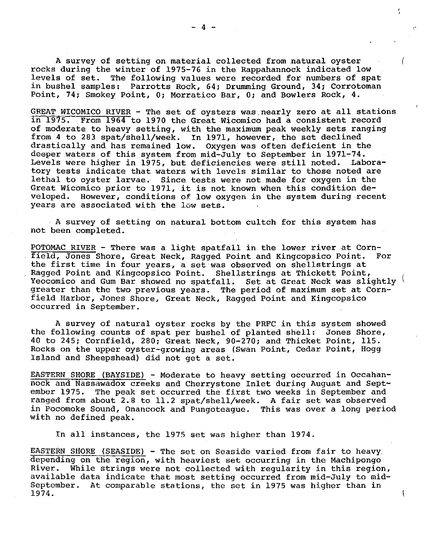A survey of setting on material collected from natural oyster rocks during the winter of 1975-76 in the Rappahannock indicated low levels of set. The following values were recorded for numbers of spat in bushel samples: Parrotts Rock, 64; Drumming Ground, 34; Corrotoman Point, 74; Smokey Point, O; Morratico Bar, 0; and Bowlers Rock, 4.

GREAT WICOMICO RIVER - The set of oysters was nearly zero at all stations<br>in 1975. From 1964 to 1970 the Great Wicomico had a consistent record From 1964 to 1970 the Great Wicomico had a consistent record of moderate to heavy setting, with the maximum peak weekly sets ranging from 4 to 283 spat/shell/week. In 1971, however, the set declined<br>drastically and has remained low. Oxygen was often deficient in the drastically and has remained low. deeper waters of this system from mid-July to September in 1971–74.<br>Levels were higher in 1975, but deficiencies were still noted. Labora-Levels were higher in 1975, but deficiencies were still noted. tory tests indicate that waters with levels similar to those noted are lethal to oyster larvae. Since tests were not made for oxygen in the Great Wicomico prior to 1971, it is not known when this condition de-<br>veloped. However, conditions of low oxygen in the system during rece However, conditions of low oxygen in the system during recent years are associated with the low sets.

A survey of setting on natural bottom cultch for this system has not been completed.

POTOMAC RIVER - There was a light spatfall in the lower river at Cornfield, Jones Shore, Great Neck, Ragged Point and Kingcopsico Point. For the first time in four years, a set was observed on shellstrings at Ragged Point and Kingcopsico Point. Shellstrings at Thickett Point, Yeocomico and Gum Bar showed no spatfall. Set at Great Neck was slightly greater than the two previous years. The period of maximum set at Cornfield Harbor, Jones Shore, Great Neck, Ragged Point and Kingcopsico occurred in September.

A survey of natural oyster rocks by the PRFC in this system showed the following counts of spat per bushel of planted shell: Jones Shore, 40 to 245; Cornfield, 280; Great Neck, 90-270; and Thicket Point, 115. Rocks on the upper oyster-growing areas (Swan Point, Cedar Point, Hogg Island and Sheepshead) did not get a set.

EASTERN SHORE (BAYSIDE) - Moderate to heavy setting occurred in Occahannock and Nassawadox creeks and Cherrystone Inlet during August and Sept-<br>ember 1975. The peak set occurred the first two weeks in September and The peak set occurred the first two weeks in September and ranged from about 2.8 to 11.2 spat/shell/week. A fair set was observed in Pocomoke Sound, Onancock and Pungoteague. This was over a long period with no defined peak.

In all instances, the 1975 set was higher than 1974.

EASTERN SHORE (SEASIDE) - The set on Seaside varied from fair to heavy. depending on the region, with heaviest set occurring in the Machipongo River. While strings were not collected with regularity in this region, available data indicate that most setting occurred from mid-July to mid-At comparable stations, the set in 1975 was higher than in 1974.

 $\overline{1}$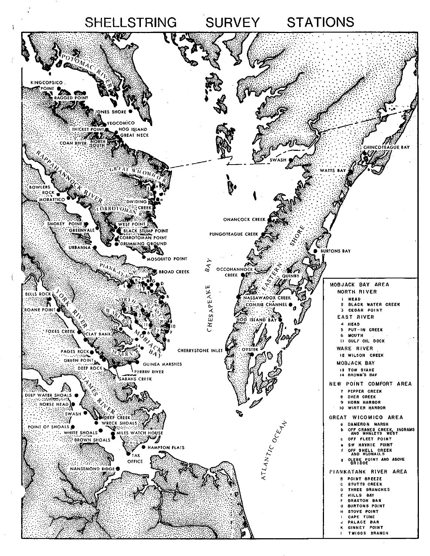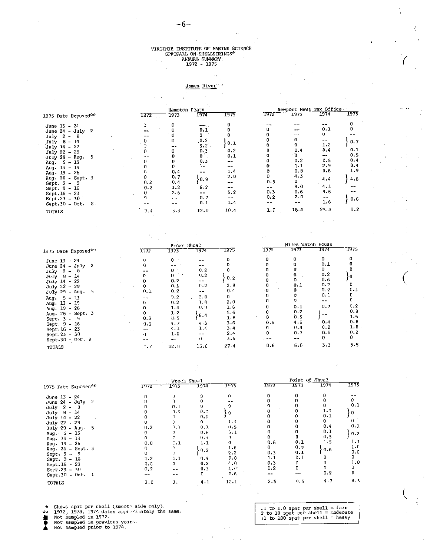$\epsilon$ 

# VIRGINIA INSTITUTE OF MARINE SCIENCE<br>SPATFALL ON SHELLSTRINGS\*<br>ANNUAL SUMMARY<br>1972 - 1975  $\overline{a}$

#### $\frac{1}{\sqrt{2}}\frac{d\phi}{d\phi}$ James River ò.

 $\sim$ 

|                                                 |      | Hampton Flats |                |              |           |          | Newport News Tax Office. |      |
|-------------------------------------------------|------|---------------|----------------|--------------|-----------|----------|--------------------------|------|
| 1975 Date Exposed "                             | 1972 | 1973          | 1974           | 1975         | 1972      | 1973     | 1974                     | 1975 |
| June 13 - 24                                    | 0    | n             |                |              |           |          |                          |      |
| June $24 - July$<br>-2                          |      | ٠n            | 0.1            |              |           | --       | 0.1                      |      |
| $\overline{2}$<br>July<br>- 8<br>$\blacksquare$ |      | $\mathbf{0}$  |                |              |           | --       | O.                       | ₹−   |
| July 8 - 14                                     |      | 0             | .0.2           | 0.1          |           |          | --                       | 0.7  |
| July 14 - 22                                    |      |               | 3.2            |              |           |          | 1.2                      |      |
| July 22 - 29                                    |      |               | 0.3            | 0.2          |           | 0.4      | 0.4                      | 0.1  |
| July 29 - Aug.<br>5                             |      |               | $0^{\circ}$ .  | 0.1          |           |          | --                       | 0.5  |
| Aug. $5 - 13$                                   |      |               | 0.3            | $- -$        |           | 0.2      | 0.5                      | 0.4  |
| Aug. 13 - 19                                    |      |               |                | $- -$        |           | 1.1      | 2.9                      | 0.4  |
| Aug. $19 - 26$                                  |      | 0.4           | $\blacksquare$ | 1.4          | n         | 0.8      | 0.6                      | 1.9  |
| Aug. 26 - Sept. 3<br>Sept. $3 - 9$              | 0.2  | 0.7<br>0.4    | 0.9            | 2.0<br>$- -$ | 'n<br>0.5 | 4.3<br>0 | 4.4                      | 4.6  |
| Sept. 9 - 16                                    | 0.2  | 1.2           | 6.2            | $- -$        | --        | 9.0      | 4.1                      | --   |
| $Sept.16 - 23$                                  | 0    | 2.6           |                | 5.2          | 0.3       | 0.6      | 9.6                      | --   |
| Sept.23 - 30                                    |      | ---           | 0.7            |              | 0.2       | 2.0      | --                       | 0.6  |
| $Sept.30 - Oct.$<br>8 <sub>1</sub>              |      | ---           | 0.1            | 1.4          | --        | --       | 1.6                      |      |
| TOTALS                                          | 0.4  | 5.3           | 12.0           | 10.4         | 1.0       | 18.4     | 25.4                     | 9.2  |

|                               |      | Brown Shoal |              |         |          | Miles Watch House |      |      |
|-------------------------------|------|-------------|--------------|---------|----------|-------------------|------|------|
| 1975 Date Exposed*            | 1572 | 1973        | 1974         | 1975    | 1972     | 1973              | 1974 | 1975 |
| June 13 - 24                  |      |             | --           |         |          |                   | 0.   | 0    |
| June $24 - July$ 2            |      |             | $- -$        |         |          |                   | 0.1  |      |
| $\overline{2}$<br>July<br>- 8 |      |             | 0.2          |         |          |                   | 0.   |      |
| July 8 - 14                   |      | Ũ.          | 0,2          |         |          |                   | 0.2  |      |
| $July 14 - 22$                |      | 0,2         | $\sim$ $-$   | 0.2     | $\sim$ 1 |                   | 0.6  |      |
| July 22 - 29                  |      | 0.5         | $\Gamma$ . 2 | 2.8     | Ο.       | 0.1               | 0.2  |      |
| July 29 - Aug.<br>-5          | 0.1  | 0.2         | --           | 0.4     |          |                   | 0.2  | 0.1  |
| $5 - 13$                      | --   | 7.2         | 2.0          | 0       |          |                   | 0.1  |      |
| Aug.<br>Aug. $13 - 19$        | n.   | 0.2         | 1.0          | 2.0     |          |                   | --   | 0    |
| Aug. $19 - 26$                |      | 1.4         | 0, 9         | 1.6     |          | 0.1               | 0.7  | 0.2  |
| Aug. 26 - Sept. 3             | n.   | 1.2         |              | 5.6     |          | 0.2               |      | 0.8  |
| $Sert. 3 - 9$                 | 0.3  | 8.5         | 6.4          | 1.8     |          | 0.5               | --   | 1.6  |
| Sept. 9 - 16                  | 0.3  | 4.7         | 4.3          | 3.6     | 0.6      | 4.6               | 0.4  | 0.8  |
| $Sept.16 - 23$                |      | 4.1         | 1.4          | 3.4     |          | 0.4               | 0.2  | 1.8  |
| Sept.23 - 30                  |      | 1.6         |              | 2.4     | n        | 0.7               | 0.6  | 0.2  |
| $Sept.30 - Oct. 8$            |      | --          |              | $3 - 6$ | --       | --                | 0.   | 0    |
| TOTALS                        | 0.7  | 22.3        | 16.6         | 27.4    | 0.6      | 6.6               | 3.3  | 5.5  |

|                                |      | Wreck Shoal        |          |             |       | Point of Shoal |      |              |
|--------------------------------|------|--------------------|----------|-------------|-------|----------------|------|--------------|
| 1975 Date Exposed***           | 1972 | 1973               | 1974     | 1975        | 1972  | 1973           | 1974 | 1975         |
| June $13 - 24$                 |      | h                  | 0        | 0           | ŋ     |                |      |              |
| June $24 - \text{July}$<br>- 2 |      |                    | η        |             |       |                |      |              |
| $July 2 - 8$                   |      | 0.1                | o        |             |       |                |      | 0.1          |
| $July 0 - 14$                  |      | 0.3                | 0.3      |             |       |                | 1.3  | 0            |
| July 14 - 22                   |      |                    | 0.6      |             |       |                | 0.1  |              |
| July 22 - 29                   |      |                    | $\Omega$ | 1.3         |       |                | 0    | 0.           |
| July 29 - Aug.<br>-5           | 0.2  | 0.3                | 0.1      | 0.5         |       |                | 0.4  | 0.1          |
| Aug 5 - 13                     | 0    | n                  | 0.6      | 6. L        |       |                | 0.1  | 0.2          |
| Aug. 13 - 19                   |      |                    | 0.3      | n.          |       |                | 0.5  |              |
| Aug. 19 - 26                   | 0.8  | c.i                | 1.1      | $^{\circ}$  | 0.6   | 0.1            | 1.5  | 1.3          |
| Aug. 26 - Sept. 3              | ŋ.   | f÷.                |          | 1.6         | 0.    | 0.2            |      | 1.0          |
|                                | 0.   | $\left\{ \right\}$ | 0.2      | 2.2         | 0.3   | 0.1            | 0.6  | 0.6          |
| Sept. $3 - 9$                  | 1.2  | 0.3                | 0.4      | 0.8         | 1.1   | 0.1            |      | $\mathbf{0}$ |
| Sept. $9 - 16$                 | 0.6  | 0                  | 0,2      | 4.0         | 0.3   | 0              |      | 1.0          |
| Sept.16 - 23                   |      |                    |          | $1.0^\circ$ | 0.2   | $\Omega$       |      | 0            |
| $Sept.23 - 30$                 | 0,2  |                    | 0.3      |             |       |                | 0.2  | 0            |
| $Sept.30 - Oct. 0$             | $ -$ |                    | 0        | 0.6         | $- -$ |                |      |              |
| TOTALS                         | 3.0  | 1.1                | 4.1      | 12.1        | 2.5   | 0.5            | 4.7  | 4.3          |

Shows spat per shell (smooth side only).<br>1972, 1973, 1974 dates approximately the same.<br>Not sampled in 1972.<br>Not sampled prior to 1974.  $\frac{1}{\sqrt{2}}$ 

■ 2011年10月

.1 to 1.0 spat per shell = fair<br>2 to 10 spat per shell = moderate<br>11 to 100 spat per shell = heavy

Ċ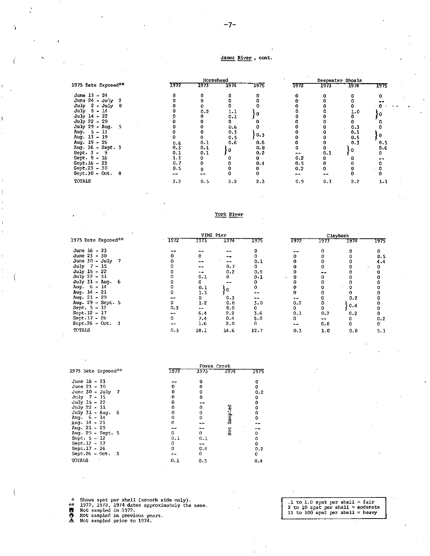#### James River, cont.

|                     | Horsehead |      |      |      | Deepwater Shoals |      |      |                               |
|---------------------|-----------|------|------|------|------------------|------|------|-------------------------------|
| 1975 Date Exposed** | 1972      | 1973 | 1974 | 1975 | 1972             | 1973 | 1974 | 1975                          |
| June 13 - 24        |           |      |      |      |                  |      |      |                               |
| June $24 - July 2$  |           |      |      |      |                  |      |      |                               |
| July $2 - July 8$   |           |      |      |      |                  |      |      | $\mathbf{r}_1 = \mathbf{r}_2$ |
| $July$ $B$ - 14     |           | 0.2  | 1.1  |      |                  |      | 1.0  |                               |
| July $14 - 22$      |           |      | 0.1  | 0    |                  |      |      |                               |
| July 22 - 29        |           |      |      |      |                  |      |      |                               |
| July 29 - Aug. 5    |           |      | 0.6  |      |                  |      | 0.3  |                               |
| Aug. 5 - 13         |           |      | 0.3  |      |                  |      | 0.1  |                               |
| Aug. 13 - 19        |           |      | 0.5  | 0.3  |                  |      | 0.5  |                               |
| $Aug. 19 - 26$      | 0.6       | 0.1  | 0.6  | 0.6  |                  |      | 0.3  | 0.5                           |
| Aug. 26 - Sept. 3   | 0.3       | 0.1  | 0    | 0.8  |                  |      | 0    | 0.6                           |
| Sept. $3 - 9$       | 0.1       | 0.1  |      | 0.2  |                  | 0.3  |      |                               |
| Sept. 9 - 16        | 1.1       |      |      |      | 0.2              |      |      |                               |
| $Sept.16 - 23$      | 0.7       | 0    |      | 0.4  | 0.5              | o    |      |                               |
| $Sept.23 - 30$      | 0.5       | n    |      |      | 0.2              |      |      |                               |
| $Sept.30 - Oct. 8$  |           |      |      |      | --               |      |      |                               |
| TOTALS              | 3.3       | 0.5  | 3.2  | 2.3  | 0.9              | 0.3  | 2.2  | 1.1                           |

York River

|                       |         | VIMS Pier |      |      | Claybank |      |      |      |  |
|-----------------------|---------|-----------|------|------|----------|------|------|------|--|
| 1975 Date Exposed**   | $-1972$ | 1973      | 1974 | 1975 | 1972     | 1973 | 7974 | 1975 |  |
| June $16 - 23$        |         |           |      |      |          |      |      |      |  |
| June $23 - 30$        |         | 0         | --   |      |          |      |      | 0.5  |  |
| June $30 - July$      |         | --        |      | 0.1  |          |      |      | 4.4  |  |
| $July 7 - 15$         |         | --        | 0.7  | ٥    |          |      |      |      |  |
| July 15 - 22          |         | - -       | 0.2  | 0.9  |          |      |      |      |  |
| July 22 - 31          |         | 0.1       | 0    | 0.1  |          |      |      |      |  |
| July 31 - Aug.<br>- 6 |         | 0         | --   |      |          |      |      |      |  |
| Aug 6 - 14            |         | 0.1       | ٠o   | 0    |          |      |      |      |  |
| Aug. $14 - 21$        |         | 1.3       |      |      |          |      |      |      |  |
| Aug. $21 - 29$        |         | 0         | 0.3  |      |          |      | 0.2  |      |  |
| Aug. $29 - Sept. 5$   |         | 1.2       | 0.8  | 3.0  | 0.2      |      |      |      |  |
| Sept. 5 - 12          | 0.3     | --        | 8.0  | 0.   | 0        |      | 0.4  |      |  |
| $Sept.12 - 17$        |         | 6.4       | 2.2  | 3.6  | 0.1      | 0,2  | 0.2  |      |  |
| $Sept.17 - 26$        |         | 7.4       | 0.4  | 5.0  | n        |      |      | 0.2  |  |
| Sept.26 - Oct. $3$    |         | 1.6       | 2.0  | o    |          | 0.8  | 0    | 0    |  |
| TOTALS                | 0.3     | 18.1      | 14.6 | 12.7 | 0.3      | 1.0  | 0.8  | 5.1  |  |

|                     | Foxes Creek |           |          |      |  |  |  |  |
|---------------------|-------------|-----------|----------|------|--|--|--|--|
| 1975 Date Exposed** | 1972        | 1973      | 1974     | 1975 |  |  |  |  |
| June 16 - 23        |             | o         |          | o    |  |  |  |  |
| June $23 - 30$      |             | Ω         |          | o    |  |  |  |  |
| June $30 - July$ 7  |             | o         |          | 0.2  |  |  |  |  |
| July 7 - 15         |             | 0         |          | 0    |  |  |  |  |
| July 15 - 22        |             |           |          | 0    |  |  |  |  |
| July 22 - 31        |             | 0         |          | 0    |  |  |  |  |
| July 31 - Aug. 6    |             | 0         | Sengined | 0    |  |  |  |  |
| $Aug. 6 - 14$       |             | 0         |          | 0    |  |  |  |  |
| Aug. 14 - 21        | 0           |           |          |      |  |  |  |  |
| Aug. 21 - 29        |             | <b>Mm</b> |          |      |  |  |  |  |
| Aug. 29 - Sept. 5   | n.          | 0         | š        | n    |  |  |  |  |
| Sept. $5 - 12$      | 0.1         | 0.1       |          | Ω    |  |  |  |  |
| $Sept.12 - 17$      | 0           |           |          | U    |  |  |  |  |
| Sept.17 - 26        | 0           | 0.4       |          | 0.2  |  |  |  |  |
| $Sept.26 - Oct. 3$  | --          | 0         |          | 0    |  |  |  |  |
| TOTALS              | 0.1         | 0.5       |          | 0.4  |  |  |  |  |
|                     |             |           |          |      |  |  |  |  |

\* Shows spat per shell (smooth side only).<br>\*\* 1972, 1973, 1974 dates approximately the same.<br>**5** Not sampled in 1972.<br>**4** Not sampled prior to 1974.

- 
- 

# , l to 1. O spat per shell = fair 2 to 10 spat per shell= moderate 11 to 100 spat per. shell = heavy

-7-

ŕ,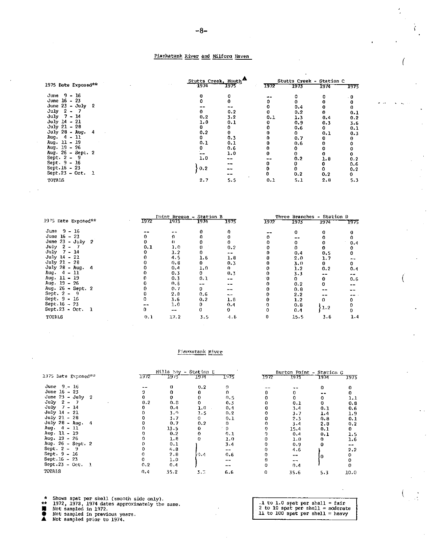#### Piankatank River and Milford Haven

|                         |      | Stutts Creek, Mouth | Stutts Creek - Station C |      |      |      |  |
|-------------------------|------|---------------------|--------------------------|------|------|------|--|
| 1975 Date Exposed**     | 1974 | 1975 <sup>. .</sup> | 1972                     | 1973 | 1974 | 1975 |  |
| June 9 - 16             | 0    |                     |                          |      |      | - 0  |  |
| June 16 - 23            |      |                     |                          |      |      | 0    |  |
| June $23 - July 2$      |      |                     |                          | 0.4  |      | 0    |  |
| $2 - 7$<br>July         |      | 0.2                 |                          | 0.2  | n.   | 0.1  |  |
| $Ju1y$ 7 - 14           | 0.2  | $3 - 2$             | 0.1                      | 1.3  | 0.4  | 0.2  |  |
| $July 14 - 21$          | 1.0  | 0.1                 | 0                        | 0, 9 | 0.3  | 3.6  |  |
| $July 21 - 28$          | 0.   |                     |                          | 0.6  | 0    | 0.1  |  |
| $July 28 - Aug.$<br>- 4 | 0.2  | 0                   | 0                        | ٥    | 0.1  | 0.3  |  |
| Aug. $4 - 11$           | 0    | 0.3                 | n                        | 0.7  | 0    | 0    |  |
| Aug. 11 - 19            | 0.1  | 0.1                 | 0                        | 0,6  | o    | 0    |  |
| Aug. 19 - 26            | 0    | 0.6                 |                          |      |      | 0    |  |
| Aug. 26 - Sept. 2       |      | 1.0                 | 0.                       |      |      | 0    |  |
| Sept. $2 - 9$           | 1.0  | --                  | --                       | 0.2  | 1.8  | 0.2  |  |
| Sept. 9 - 16            |      | --                  |                          | 0    | 0    | 0.6  |  |
| Sept.16 - 23            | 0.2  |                     |                          |      | ٥    | 0.2  |  |
| $Sept.23 - Oct.$<br>- 1 |      |                     | 0                        | 0.2  | 0.2  | 0    |  |
| TOTALS                  | 2.7  | 5.5                 | 0.1                      | 5.1  | 2.8  | 5.3  |  |

|                     | Toint Breeze - Station B | Three Branches - Station D |         |       |      |      |      |      |
|---------------------|--------------------------|----------------------------|---------|-------|------|------|------|------|
| 1975 Date Exposed** | 1972                     | 1973                       | 1974    | 1975  | 1972 | 1973 | 1974 | 1975 |
| June 9 - 16         |                          |                            |         |       |      |      |      |      |
| June $16 - 23$      |                          |                            |         |       |      |      |      |      |
| June $23 - July$ 2  |                          |                            |         |       |      |      |      | 0.4  |
| July $2 - 7$        | 0.1                      | 1. C                       |         | 0.2   |      |      |      |      |
| $July$ 7 - 14       |                          | 1.2                        |         | $- -$ |      | 0.4  | 0.5  |      |
| July 14 - 21        |                          | 4.5                        | 1.6     | 1.8   |      | 2.0  | 1.7  |      |
| $July 21 - 28$      |                          | 0.8                        | 0.      | 0.3   |      | 3.0  | 0    | 0    |
| July 28 - Aug. $4$  |                          | 0.4                        | 1.0     | 0.    |      | 1.2  | 0.2  | 0.4  |
| Aug. $4 - 11$       |                          | 0.3                        | 0       | 0.3   |      | 3.3  | --   | --   |
| Aug. 11 - 19        |                          | 0.3                        | 0.1     | --    |      |      | 0    | 0.6  |
| Aug. $19 - 26$      |                          | 0.5                        | --      | --    |      | 0.2  |      |      |
| Aug. 26 - Sept. 2   |                          | 0.7                        | 0       | --    |      | 0.8  | --   |      |
| Sept. $2 - 9$       |                          | 2.0                        | 0.6     | --    |      | 2.2  |      |      |
| Sept. 9 - 16        |                          | 3.6                        | 0,2     | 1.8   |      | 1.2  | 0.   |      |
| Sept 16 - 23        |                          | 1.0                        | 0       | 0.4   |      | 0.8  |      |      |
| $Sept.23 - Oct.$    |                          | --                         | 0       | 0     |      | 0.4  | 1.2  |      |
| <b>TOTALS</b>       | 0.1                      | 17.2                       | $3 - 5$ | 4.6   |      | 15.5 | 3.6  | 1.4  |

#### Fiankatank River

|                       |      | Hills Eay - Station E |      |      |      | Burton Point - Station G |      |      |
|-----------------------|------|-----------------------|------|------|------|--------------------------|------|------|
| 1975 Date Exposed**   | 1972 | アダパ                   | 1974 | T 75 | 1972 | 1973                     | 1974 | 1975 |
| June $9 - 16$         |      |                       | 0.2  |      |      |                          | n    |      |
| June 16 - 23          |      |                       |      |      |      |                          |      |      |
| June $23 - July 2$    |      |                       |      | 0.5  |      |                          |      | 1.1  |
| July<br>$2 -$         | 0.2  | 0.8                   |      | 0.3  |      | 0.1                      |      | 0.8  |
| $July$ 7 - 14         |      | 0.4                   | 1.0  | 0.4  |      | 3.4                      | 0.1  | 0.6  |
| July 14 - 21          |      | 3.0                   | 1.5  | 0.2  |      | 3.7                      | 1.4  | 1.9  |
| $July 21 - 28$        |      | 3.7                   | 0.   | 0.1  |      | 2.3                      | 0.8  | 0.1  |
| $July 28 - Aug.$<br>4 |      | 0.7                   | 0.2  | o    |      | 3.4                      | 2.8  | 0.2  |
| $4 - 11$<br>Aug.      |      | 13.5                  | 0    |      |      | 15.4                     | 0.1  | 0    |
| Aug. 11 - 19          |      | 0.2                   | 0.   | 0.1  |      | 0.4                      | 0.1  | 1.5  |
| Aug. $19 - 26$        |      | 1.8                   | 0    | 1.0  |      | 1.0                      | 0    | 1.6  |
| Aug. 26 - Sept. 2     |      | 0.1                   |      | 3.4  |      | 0.9                      | Ω    | --   |
| Sept. 2 -<br>- 9      |      | 5.8                   |      |      |      | 4.6                      |      | 2.2  |
| Sept. 9 - 16          |      | 2.8                   | -9.4 | 0.6  |      | $- -$                    | O.   |      |
| Sept 16 - 23          |      | 1,0                   |      |      |      | $- -$                    |      |      |
| Sept.23 - Oct. $1$    | 0.2  | 0.4                   |      |      |      | 0.4                      |      |      |
| TOTALS                | 0.4  | 35.2                  | 3. 7 | 6.6  | 0    | 35.6                     | 5.3  | 10.0 |

Shows spat per shell (smooth side only).<br>1972, 1973, 1974 dates approximately the same.<br>Not sampled in 1972.<br>Not sampled prior to 1974.  $\star$ 

 $\frac{1}{2}$ 

1 to 1.0 spat per shell = fair<br>2 to 10 spat per shell = moderate<br>11 to 100 spat per shell = heavy

ì.

 $\mathcal{L}^{\pm}$  .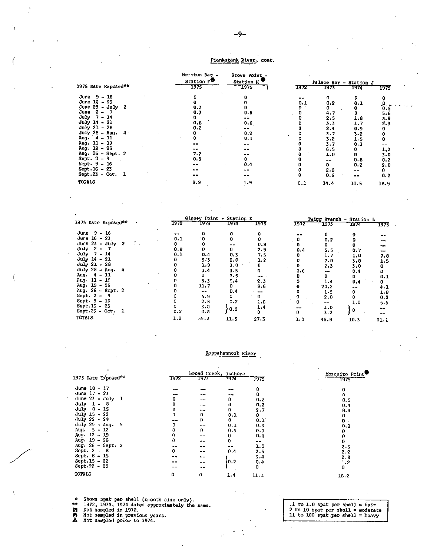#### Piankatank River, cont.

|                     | Brexton Bar -<br>Station F <sup>₩</sup> | Stove Point -<br>Station H' |      |         | Palace Bar - Station J |      |
|---------------------|-----------------------------------------|-----------------------------|------|---------|------------------------|------|
| 1975 Date Exposed** | 1975                                    | 1975                        | 1972 | 1973    | 1974                   | 1975 |
| - 16<br>June 9      |                                         |                             |      | 0       | 0                      |      |
| June $16 - 23$      |                                         |                             | 0.1  | 0.2     | 0,1                    |      |
| June $23 - July 2$  | 0.3                                     |                             |      | ٥       |                        | 0.5  |
| June 2 –            | 0.3                                     | 0.6                         |      | 4.7     |                        | 56   |
| July<br>7 - 14      |                                         |                             |      | 2.5     | 1.8                    | 3.9  |
| $July 14 - 21$      | 0,6                                     | 0.6                         |      | $3 - 3$ | 1.7                    | 2.3  |
| $July 21 - 28$      | 0.2                                     | --                          |      | 2.4     | 0.9                    |      |
| July 28 - Aug. $4$  |                                         | 0.2                         |      | 3.7     | 3.2                    |      |
| Aug. $4 - 11$       |                                         | 0.1                         |      | 3.2     | 1.5                    |      |
| Aug. 11 - 19        |                                         | $-$                         |      | 3.7     | 0.3                    |      |
| Aug. 19 - 26        |                                         |                             |      | 6.5     | 0                      | 1.2  |
| Aug. 26 - Sept. 2   | .7.2                                    |                             |      | 1.0     | o                      | 3.0  |
| Sept. $2 - 9$       | 0.3                                     |                             |      |         | 0.8                    | 0.2  |
| Sept. $9 - 16$      | --                                      | 0.4                         |      |         | 0.2                    | 2.0  |
| $Sept.16 - 23$      |                                         |                             |      | 2.6     | --                     | 0    |
| Sept.23 - Oct. 1    | --                                      | $- -$                       |      | 0.6     | $- -$                  | 0.2  |
|                     |                                         |                             |      |         |                        |      |
| TOTALS              | 8.9                                     | 1.9                         | 0.1  | 34.4    | 10.5                   | 18.9 |
|                     |                                         |                             |      |         |                        |      |

|                         |    |      | Ginney Point - Station K |      |      | Twigg Branch - Station L |       |             |       |
|-------------------------|----|------|--------------------------|------|------|--------------------------|-------|-------------|-------|
| 1975 Date Exposed**     |    | 1972 | 1973                     | 1974 | 1975 | 1972                     | 1973  | 1574        | 1975  |
| June 9 - 16             |    |      |                          |      |      |                          |       |             |       |
| June 16 - 23            |    | 0.1  |                          |      |      |                          | 0.2   |             |       |
| June $23 - \text{July}$ | -2 |      |                          |      | 0.8  |                          | 0     |             | --    |
| July $2 - 7$            |    | 0.6  | 0                        |      | 2.9  | 0.4                      | 5. 5  | 0.7         | $-$   |
| July 7 - 14             |    | 0.1  | 0.4                      | 0,3  | 7.5  |                          | 1.7   | 1.0         | 7.8   |
| July 14 - 21            |    |      | $5 - 3$                  | 2.0  | 1.2  |                          | 7. 0  | 3.8         | 1.5   |
| July 21 - 28            |    |      | 1.9                      | 3.0  | 0    |                          | 2.3   | 3,0         |       |
| July $28 - \text{Aug.}$ | 4  |      | 3.4                      | 3.5  |      | 0.6                      | --    | 0.4         |       |
| Aug. 4 - 11             |    |      | D.                       | 1.5  | --   |                          | 0.    | 0.          | 0.1   |
| Aug. 11 - 19            |    |      | 3.3                      | 0.4  | 2.3  |                          | 1.4.  | 0.4         |       |
| Aug. 19 - 26            |    |      | 11,7                     |      | 9.6  |                          | 20.2  |             | 4. L  |
| Aug. 26 - Sept. 2       |    |      | $- -$                    | 0,4  |      |                          | 1.5   |             | 1.8   |
| Sept. $2 - 9$           |    |      | 5.8                      |      | 0.   |                          | 2.0   |             | 0.2   |
| Sept. $9 - 16$          |    |      | $2 - 8$                  | 0.2  | 1.6  |                          | $- -$ | 1.0         | 5.6   |
| Sept. 16 - 23           |    |      | 3.0                      | 0.2  | 1.4  |                          | 1.0   |             | $- -$ |
| Sept 23 - Oct.          | ı  | 0.2  | 0.8                      |      |      |                          | 3.2   | $\mathbf 0$ | --    |
| TOTALS                  |    | 1.2  | 39.2                     | 11.5 | 27.3 | 1.0                      | 46.8  | 10.3        | 21.1  |

#### Rappahannock River

|                     |      |                          | Broad Creek, Inshore |            | $\ddot{\phantom{1}}$<br>Mosquito Point |
|---------------------|------|--------------------------|----------------------|------------|----------------------------------------|
| 1975 Date Exposed** | 1972 | 1973                     | 1974                 | 1975       | 1975                                   |
| June 10 - 17        |      |                          |                      |            | 0                                      |
| June 17 - 23        |      |                          |                      |            | n.                                     |
| June 23 - July 1    |      |                          |                      | 0.2        | 0.5                                    |
| July $1 - 8$        |      | $\sim$ $-$               |                      | 0.2        | 0.4                                    |
| July $8 - 15$       |      | $\cdots$                 | 0                    | 2.7        | 8.4                                    |
| July 15 - 22        |      | o                        | 0, 1                 | 0          | 0                                      |
| July 22 - 29        |      | Ð                        | 0                    | 0.1        | $\mathbf{0}$ .                         |
| July 29 - Aug. 5    |      | $\overline{\phantom{a}}$ | 0.1                  | 0.3        | 0.1                                    |
| Aug. $5 - 12$       |      | o                        | 0.6                  | 0.1        |                                        |
| Aug. $12 - 19$      |      |                          | 0                    | 0.1        |                                        |
| Aug. 19 - 26        |      |                          | 0                    | $\sim$ $-$ | 0                                      |
| Aug. 26 - Sept. 2   |      |                          | --                   | 1.0        | 2.6                                    |
| Sept. $2 - 8$       | n.   | --                       | 0,4                  | 2.6        | 2.2                                    |
| $Sept. 8 - 15$      |      |                          |                      | 3.4        | 2.8                                    |
| Sept. 15 - 22       |      |                          | 0.2                  | 0.4        | 1.2                                    |
| Sept. 22 - 29       | --   |                          |                      | 0          | $\mathbf{0}$                           |
| TOTALS              | 0    | 0                        | 1.4                  | 11.1       | 1.8.2                                  |

Shows spat per shell (smooth side only).<br>1972, 1973, 1974 dates approximately the same.<br>Not sampled in 1972.<br>Not sampled prior to 1974. Ŵ

 $\ddot{\ddot{\textbf{a}}}$ 

.1 to 1.0 spat per shell =  $\frac{1}{100}$ <br>2 to 10 spat per shell = moderate<br>11 to 100 spat per shell = heavy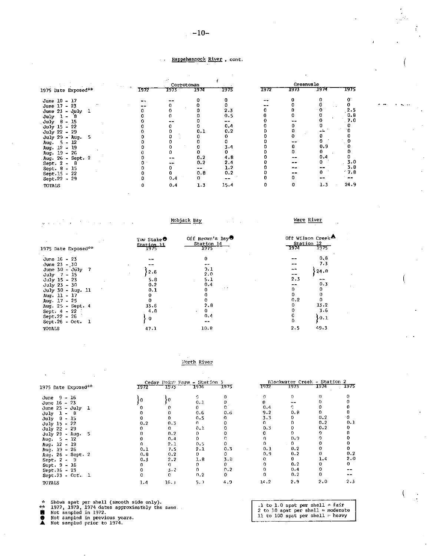### $-10-$

#### Rappahannock River, cont.

¥,

|                                |      |        | Corrotoman |      |      | Greenvale |      |      |
|--------------------------------|------|--------|------------|------|------|-----------|------|------|
| 1975 Date Exposed**            | 1972 | 1973 - | 1974       | 1975 | 1972 | 1973      | 1974 | 1775 |
| June $10 - 17$                 | . .  |        |            |      |      |           |      |      |
| June 17 - 23                   |      |        |            |      |      |           |      |      |
| June $23 - 3y1y$               |      |        |            | 2.3  |      |           |      | 2.5  |
| July<br>8<br>$\blacksquare$    |      |        |            | 0.5  |      |           |      | 0.8  |
| 15<br>July 8<br>$\blacksquare$ |      |        |            |      |      |           |      | 7.0  |
| $July 15 - 22$                 |      |        |            | 0.4  |      |           |      |      |
| July 22 - 29                   |      |        | 0.1        | 0.2  |      |           |      |      |
| July 29 - Aug.                 |      |        |            |      |      |           |      |      |
| $-12$<br>5.<br>Aug.            |      |        |            |      |      |           |      |      |
| Aug. 12 - 19                   |      |        |            | 3.4  |      |           | 0.9  |      |
| Aug. $19 - 26$                 |      |        |            |      |      |           |      |      |
| Aug. 26 - Sept. 2              |      |        | 0.2        | 4.8  |      |           | 0.4  |      |
| Sept. $2 - 8$                  |      |        | 0.2        | 2.4  |      |           |      | 3,0  |
| Sept. 8 - 15                   |      |        | $- -$      | 1.2  |      |           |      | 3.8  |
| $Sept.15 - 22$                 |      |        | 0.8        | 0.2  |      |           |      | 7.8  |
| Sept.22 $-29$                  |      | 0.4    |            |      |      |           |      |      |
| TOTALS                         |      | 0.4    | 1.3        | 15.4 |      |           | 1.3  | 24.9 |

 $\label{eq:2} \frac{1}{2} \sum_{i=1}^n \frac{1}{2} \sum_{i=1}^n \frac{1}{2} \sum_{j=1}^n \frac{1}{2} \sum_{i=1}^n \frac{1}{2} \sum_{i=1}^n \frac{1}{2} \sum_{j=1}^n \frac{1}{2} \sum_{j=1}^n \frac{1}{2} \sum_{j=1}^n \frac{1}{2} \sum_{j=1}^n \frac{1}{2} \sum_{j=1}^n \frac{1}{2} \sum_{j=1}^n \frac{1}{2} \sum_{j=1}^n \frac{1}{2} \sum_{j=1}^n \frac{1}{$  $\bar{\gamma}$  $\omega_{\rm{max}}$ 

Mobjack Bay

 $\frac{1}{2} \frac{1}{2} \frac{1}{2} \frac{1}{2} \frac{1}{2} \frac{1}{2}$ 

Ware River

| 1975 Date Exposed**       | Tow Stake <sup>O</sup><br>Station 11<br>1975 | Off Brown's Bay <sup>®</sup><br>Station 14<br>7975 | Off Wilson Creek <sup>2</sup><br>Station 12<br>1975<br>7974 |
|---------------------------|----------------------------------------------|----------------------------------------------------|-------------------------------------------------------------|
| June 16 - 23              | --                                           | 0                                                  | 0.8                                                         |
| June $23 - 30$            | --                                           |                                                    | 7.3                                                         |
| June $30 - \text{July}$ 7 | 2.6                                          | 9. 1                                               | $-1$<br>24.0                                                |
| $July 7 - 15$             |                                              | 2.0                                                | $- -$                                                       |
| $July 15 - 23$            | 5.8                                          | 5.1                                                | $2 - 3$                                                     |
| $July 23 - 30$            | 0.2                                          | 0.4                                                | 0.3                                                         |
| July 30 - Aug. 11         | 0.1                                          | $-1.11$<br>0                                       | 0                                                           |
| Aug. $11 - 17$            |                                              | 0                                                  | 0<br>0                                                      |
| Aug. $17 - 25$            |                                              |                                                    | o<br>0.2                                                    |
| Aug. 25 - Sept. 4         | 33.6                                         | 2 B                                                | 13.2<br>0                                                   |
| Sept. $4 - 22$            | 4.8                                          | 0                                                  | 3.6                                                         |
| Sept.22 - 26              |                                              | 0.4                                                | 10.1                                                        |
| Sept.26 - Oct. $1$        | 0                                            | $- -$                                              |                                                             |
| TOTALS                    | 47.1                                         | 10.8                                               | 49.3<br>2.5                                                 |

#### Morth River

|                                 |      |      | Cedar Point Farm - Station 3 |      |      | Blackwater Creek - Station 2 |      |       |  |
|---------------------------------|------|------|------------------------------|------|------|------------------------------|------|-------|--|
| 1975 Date Exposed**             | 1972 | 1973 | 1974                         | 1975 | 1972 | 1973                         | 1974 | 1975. |  |
| June $9 - 16$                   |      |      | G.                           |      |      |                              |      |       |  |
| June $16 - 23$                  |      | ١O   | 0.1                          |      |      |                              |      |       |  |
| June $23 - \text{July} \quad 1$ |      |      | 0.                           |      | 0.4  |                              |      |       |  |
| $July 1 - 8$                    |      |      | 0.6                          | 0.6  | 9.2  | 0.8                          | п.   |       |  |
| $July 8 - 15$                   |      |      | 0.5                          |      | 3.3  |                              | 0.2  |       |  |
| July 15 - 22                    | 0.2  | 0.3  | η.                           |      |      |                              | 0.2  | 0.1   |  |
| $July 22 - 29$                  |      |      | 0.1                          |      | 0.3  |                              | 0.2  |       |  |
| July 29 - Aug. 5                |      | 0.2  | 0                            |      |      |                              |      |       |  |
| Aug. $5 - 12$                   |      | 0.4  | 0                            |      |      | 0.9                          |      |       |  |
| Aug. $12 - 19$                  |      | 2.1  | 0.5                          |      |      | 0.                           |      |       |  |
| Aug. $19 - 26$                  | 0.1  | 7.5  | 2.1                          | 0.3  | 0.1  | 0.2                          |      |       |  |
| Aug. 26 - Sept. 2               | 0, 3 | 0.2  | 0                            | 0    | 0, 9 | 0.2                          |      | 0.2   |  |
| Sept. 2 - 9                     | 0.3  | 2.2  | 1.8                          | 3.8  |      | 0.                           | 1.4  | 2.0   |  |
| Sept. 9 - 16                    |      | 0.   |                              |      |      | 0.2                          |      | O.    |  |
| Sept. 16 - 23                   |      | 3.2  | 0                            | 0.2  |      | 0,4                          |      |       |  |
| Sept.23 - Oct. 1                |      | n.   | $n_{.2}$                     | 0.   |      | 0.2                          |      |       |  |
| TOTALS                          | 1.4  | 16.1 | 5. 0                         | 4.9  | 14.2 | 2.9                          | 2.0  | 2.3   |  |

\* Shows spat per shell (smooth side only).<br>\*\* 1972, 1973, 1974 dates approximately the same.<br>■ Not sampled in 1972.<br>● Not sampled prior to 1974.

1 to 1.0 spat per shell = fair<br>2 to 10 spat per shell = moderate<br>11 to 100 spat per shell = heavy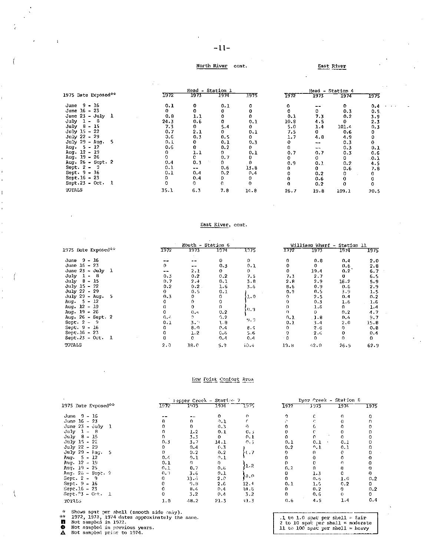#### $-11-$

#### North River cont. East River

|                                 |      | Head - Station 1  |      |      |      |       | Head - Station 4 |      |  |  |
|---------------------------------|------|-------------------|------|------|------|-------|------------------|------|--|--|
| 1975 Date Exposed <sup>##</sup> | 1972 | 1973              | 1974 | 1975 | T972 | 1973  | 1974             | 1975 |  |  |
| June $9 - 16$                   | 0.1  | ٥                 | 0.1  | o    | 0    |       | 0                | 0,4  |  |  |
| June 16 - 23                    | 0    | 0                 |      |      | 0    | 0     | 0.3              | 0.5. |  |  |
| June $23 - July 1$              | 0.8  | 1.1               |      |      | 0.1  | 7.3   | 0.2              | 3.9  |  |  |
| July.<br>$1 - 8$                | 24.3 | 0.6               |      | 0.1  | 10.8 | 4.5   | 0                | 2.3  |  |  |
| $July 8 - 15$                   | 7.3  | 0                 | 5.4  | 0    | 5.0  | 1.4   | 101.4            | 0.3  |  |  |
| $July 15 - 22$                  | 0.7  | 2.1               | 0.   | 0.1  | 7.5  | 0     | 0.6              |      |  |  |
| July 22 - 29                    | 0.G  | 0.3               | 0.5  | 0    | 1.7  | 4.6   | 4.9              |      |  |  |
| $July 29 - Aug.$<br>5           | 0.1  | 0                 | 0.1  | 0.3  | 0    | --    | 0.3              |      |  |  |
| Aug. $5 - 12$                   | 0.6  | 0                 | 0.2  | 0    | n.   | $- -$ | 0.3              | 0.1  |  |  |
| Aug. 12 - 19                    |      | 1.1               | Ω.   | 0.1  | 0.7  | 0.7   | 0.3              | 0.6  |  |  |
| Aug. $19 - 26$                  |      | c.                | 0.7  | 0    | 0    | Ω     | n                | .0.1 |  |  |
| Aug. 26 - Sept. 2               | 0.1  | 0.3               | 0    |      | 0.9  | 0.1   | 0.2              | 4.5  |  |  |
| Sept. $2 - 9$                   | 0.1  | $\qquad \qquad -$ | 0.6  | 13.8 | 0    |       | 0.6              | 7.8  |  |  |
| Sept. 9 - 16                    | 0.1  | 0.4               | 0.2  | 0.4  |      | 0.2   | 0                |      |  |  |
| $Sept.16 - 23$                  | 0    | 0.4               | 0    | 0    |      | 0.6   |                  |      |  |  |
| $Sept.23 - Oct. 1$              |      | 0                 | o    | O.   |      | 0.2   | U                |      |  |  |
| TOTALS                          | 35.1 | 6.3               | 7.8  | 14.8 | 26.7 | 19.8  | 109.1            | 20.5 |  |  |

#### East River, cont.

|                       |       | Mouth - Station 6 |              |       |              | Williams Wharf – Station 11 |      |      |  |
|-----------------------|-------|-------------------|--------------|-------|--------------|-----------------------------|------|------|--|
| 1975 Date Exposed**   | 1972  | 1973              | 1974         | 1.375 | 1372         | 1973                        | 1974 | 1975 |  |
| June $9 - 16$         |       | --                | 0            | 0     | 0            | 0.8                         | 0.4  | 2.0  |  |
| June 16 - 23          | 0     | $\bullet$ $-$     | 0.3          | 0.1   |              | 0                           | 0.6  | 2.8  |  |
| June $23 -$ July<br>1 | $- -$ | 2.1               | $\mathbf{0}$ | 0     | 0            | 19.4                        | 0.2  | 6.7  |  |
| July<br>- 8<br>-1 -   | 0.3   | 0.2               | 0.2          | 7.5   | 7.3          | 2.7                         | 0    | 6.5  |  |
| July 8 - 15           | 0.7   | $2 - 1$           | 0.1          | 3.8   | 2.8          | 2.9                         | 16.2 | 5.9  |  |
| $July 15 - 22$        | 0.2   | 0.2               | 1.6          | 3.5   | 8.6          | 0.9                         | 0.6  | 2.9  |  |
| July 22 - 29          | 0     | 0.5               | 0.1          |       | 0.9          | 0.5                         | 3.9  | 1.5  |  |
| $July 29 - Aug.$<br>5 | 0.3   | 0                 | 0.           | 1.0   | 0            | 2.5                         | 0.4  | 0.2  |  |
| - 5 - 12<br>Aug.      |       | 0                 |              |       | 0            | 0.3                         | 1.6  | 1.6  |  |
| Aug. 12 - 19          | 0     | 0                 | 0            |       | 0            | 1.6                         | 0.   | 1.4  |  |
| Aug. 19 - 26          | 0     | 0.4               | 0.2          | 10.9  | <sup>n</sup> | 0.                          | 0.2  | 4.7  |  |
| Aug. 26 - Sept. 2     | 0.A   | Ð.                | 0.2          |       | 0.1          | 1.8                         | 0.4  | 9.7  |  |
| Sept. $2 -$<br>- 9    | 0.1   | 3. ⊓              | l.B          | 9.9   | 0.1          | 3.4                         | 2.0  | 15.8 |  |
| Sept. 9 - 16          | 0     | 8.0               | 0.4          | 8.4   | 0            | 2.6                         | 0    | 0.8  |  |
| $Sept.16 - 23$        | 0     | 1.2               | 0.6          | 5.6   | 0            | 2.6                         | 0    | 0.4  |  |
| $Sept.23 - Oct. 1$    | n     | c                 | 0.4          | 0.4   | ٠O           | n.                          | n.   | 0    |  |
| TOTALS                | 2.0   | 18.0              | 5.3          | 40.4  | 19.8         | 42.0                        | 26.5 | 62.9 |  |

#### liew Foint Comfort Area

|                           |        |      | lepper Creek - Station 7 |         |      | Dyer Creek - Station D |      |      |
|---------------------------|--------|------|--------------------------|---------|------|------------------------|------|------|
| 1975 Date Exposed**       | 1972   | 1973 | 1974                     | 1975    | 1972 | 3973                   | 1974 | 1975 |
| June 9 - 16               |        |      | 0.                       | Ω       | 9    |                        | O.   |      |
| June 16 - 23              |        | n.   | -1.1                     |         |      |                        |      |      |
| June $23 - july$ 1        |        | 0.   | 0.3                      |         |      |                        |      |      |
| $July 1 - 8$              |        | 1.2  | 0.1                      | 0. J    |      |                        | 0    |      |
| $July 8 - 15$             |        | 3.3  | 0                        | 0.1     |      |                        | n    |      |
| July 15 - 22              | 0.3    | 3.7  | 14.1                     | 0.5     | 0.1  | 0.1                    | 0.1  |      |
| $July 22 - 29$            | D.     | 0.4  | 0.3                      |         | 0.2  | 0.1                    | 0.1  |      |
| July 29 - $\lambda$ ug. 5 | 0      | 0.2  | 0.2                      | ን ( , 7 | n    |                        | e    |      |
| Aug. $5 - 12$             | 0.4    | 0.1  | 0.1                      |         | 0    |                        | 0.   |      |
| Aug. $12 - 19$            | 0.1    | 0.   | 0                        |         |      |                        | n.   |      |
| Aug. 19 - 25              | 0.1    | 0.7  | 0,6                      | }1.2    | 0.2  |                        | ŋ    |      |
| Aug. 26 - Sept. 2         | (0, 0) | 3.6  | 0.1                      |         | 0    | 1.3                    | 0.   | 0.   |
| Sept 2 - 9                | 0.     | 13.5 | $2 \cdot C$              | ≯მ.ი    | n.   | 0.6                    | 1.0  | 0.2  |
| Sept. 9 - 16              | n      | 9.8  | 2.6                      | 12.1    | 0.1  | 1.6                    | 0.2  | 0    |
| Sept. 16 - 23             |        | 8.4  | 0.4                      | 14.6    | 0    | 0.2                    | 0    | 0.2  |
| $Sept. ?3 - 0rt. 1$       |        | 3.2  | 0,4                      | 3.2     | 0.   | 0.6                    | 0    | 0    |
| <b>TCTALS</b>             | 1.9    | 48.2 | 21.3                     | 41.3    | 0.6  | 4.5                    | 1.4  | 0.4  |

\* Shows Spat per shell (smooth side only).<br>\*\* 1972, 1973, 1974 dates approximately the same.<br>
■ Not sampled in 1972.<br>
■ Not sampled prior to 1974.

.1 to 1.0 spat per shell = fair<br>2 to 10 spat per shell = moderate<br>11 to 100 spat per shell = heavy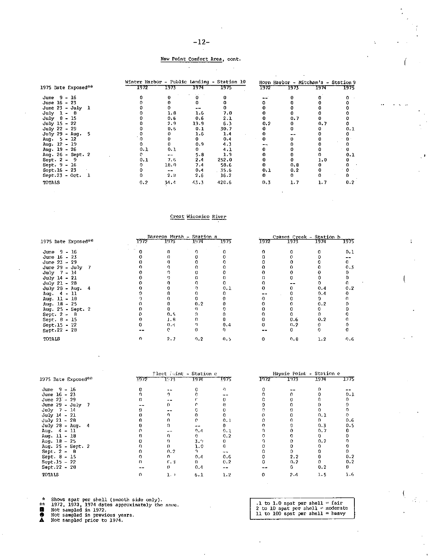#### New Point Comfort Area, cont.

 $\sim$ 

|                      |      |                |      | Winter Harbor - Public Landing - Station 10 |      |      | Horn Harbor - Mitcham's - Station 9 |      |
|----------------------|------|----------------|------|---------------------------------------------|------|------|-------------------------------------|------|
| 1975 Date Exposed ** | 1972 | 1973           | 1974 | 1975                                        | 1972 | 1973 | 1974                                | T975 |
| June 9 - 16          |      |                |      |                                             |      |      |                                     |      |
| June 16 - 23         |      |                |      |                                             |      |      |                                     |      |
| June $23 - July 1$   |      |                | $ -$ |                                             |      |      |                                     |      |
| $July 1 - 8$         |      | 1.8            | 1.6  | 7.0                                         |      |      |                                     |      |
| $July 8 - 15$        |      | 0.6            | 0.6  | 2.1                                         |      | 0.7  |                                     |      |
| $July$ 15 - 22       |      | 2.9            | 19.9 | 6.3                                         | 0.2  |      | 0.7                                 |      |
| $July 22 - 29$       |      | 0.6            | 0.1  | 30.7                                        |      |      |                                     | 0.1  |
| July 29 - Aug. 5     |      |                | 1.6  | 1.4                                         |      |      |                                     |      |
| Aug. $5 - 12$        |      |                | 0.   | 0.4                                         |      |      |                                     |      |
| Aug. 12 - 19         |      |                | 0.9  | 4.3                                         |      |      |                                     |      |
| Aug. $19 - 26$       | 0.1  | 0.1            | 0.   | 4.1                                         |      |      |                                     |      |
| Aug. 26 - Sept. 2    |      | $\overline{a}$ | 5.8  | 1.9                                         |      |      |                                     | 0.1  |
| Sept. $2 - 9$        | 0.1  | 7.6            | 2.4  | 252.0                                       |      |      | 1.0                                 |      |
| Sept. $9 - 16$       |      | 18.O           | 7.4  | 58.6                                        |      | 0.8  |                                     |      |
| Sept. 16 - 23        |      | $-$            | 0,4  | 35.6                                        | 0.1  | 0.2  |                                     |      |
| Sept.23 - Oct. $1$   |      | 2.8            | 2.6  | 16.2                                        | 0.   | 0    |                                     | 0    |
| TOTALS               | 0.2  | 34.4           | 43.3 | 42C.6                                       | 0.3  | 1.7  | 1.7                                 | 0.2  |

#### Creat Wicomico River

|                     |      | Dameron Marsh - Station a |      |      |      |      | Cranes Creek - Station b |      |  |  |
|---------------------|------|---------------------------|------|------|------|------|--------------------------|------|--|--|
| 1975 Date Exposed** | 1972 | 7973                      | 1974 | 1975 | 1972 | 1973 | 1974                     | 1975 |  |  |
| June $9 - 16$       |      |                           |      |      |      |      |                          | 0.1  |  |  |
| June $16 - 23$      |      |                           |      |      |      |      |                          |      |  |  |
| June $23 - 29$      |      |                           |      |      |      |      |                          |      |  |  |
| June 29 - July 7    |      |                           |      |      |      |      |                          | 0.3  |  |  |
| July $7 - 14$       |      |                           |      |      |      |      |                          |      |  |  |
| July 14 - 21        |      |                           |      |      |      |      |                          |      |  |  |
| July 21 - 28        |      |                           |      |      |      |      |                          |      |  |  |
| July 28 - Aug. 4    |      |                           |      | 0.1  |      |      | 0.4                      | 0.2  |  |  |
| Aug. 4 - 11         |      |                           |      |      |      |      | 0.4                      |      |  |  |
| Aug. $11 - 10$      |      |                           |      |      |      |      |                          |      |  |  |
| Aug. $18 - 25$      |      |                           | 0.2  |      |      |      | 0.2                      |      |  |  |
| Aug. 25 - Sept. 2   |      |                           |      |      |      |      |                          |      |  |  |
| Sept. $2 - 8$       |      | 0.5                       |      |      |      |      |                          |      |  |  |
| Sept. 8 - 15        |      | 1 B                       |      |      |      | 0.6  | 0.2                      |      |  |  |
| Sept.15 - 22        |      | 0 <sub>1</sub>            |      | 0.4  |      | 0.2  |                          |      |  |  |
| Sept.22 - $2\theta$ |      |                           |      |      |      |      |                          |      |  |  |
| <b>TATOT</b>        |      | 2.7                       | 0.2  | 0.5  |      | 0.8  | 1.2                      | በ. ፍ |  |  |

|                              |      | Pleet Juint - Station c |      |          |      |      | Haynie Point - Station e |      |  |  |
|------------------------------|------|-------------------------|------|----------|------|------|--------------------------|------|--|--|
| 1975 Date Exposed""          | 1972 | 1:73                    | 1974 | 1975     | 1072 | 1973 | 1974                     | 1375 |  |  |
| June $9 - 16$                |      |                         |      | $\Omega$ |      |      |                          |      |  |  |
| June 16 - 23                 |      |                         |      |          |      |      |                          | 0.1  |  |  |
| June $23 - 29$               |      |                         |      |          |      |      |                          |      |  |  |
| June $29 - July 7$           |      |                         |      |          |      |      |                          |      |  |  |
| $July 7 - 14$                |      |                         |      |          |      |      |                          |      |  |  |
| July $14 - 21$               |      |                         |      |          |      |      | 0.1                      |      |  |  |
| $July 21 - 28$               |      |                         |      | 0.1      |      |      | 0                        | 0.6  |  |  |
| $July 28 - Aug.$<br>$\sim$ 4 |      |                         |      |          |      |      | 0.3                      | 0.5  |  |  |
| Aug. $4 - 11$                |      |                         | 0.4  | 0.1      |      |      | 0,7                      |      |  |  |
| Aug. 11 - 18                 |      |                         |      | 0.2      |      |      | 0                        |      |  |  |
| $Aug. 18 - 25$               |      |                         | 3.9  |          |      |      | 0.2                      |      |  |  |
| Aug. 25 - Sept. 2            |      |                         | 1.0  |          |      |      |                          |      |  |  |
| Sept. $2 - 8$                |      | n, 2                    |      |          |      |      |                          |      |  |  |
| Sept. 8 - 15                 |      | n                       | 0.4  | 0.6      |      | 2.2  |                          | 0.2  |  |  |
| $Sept.15 - 22$               |      | f. 3                    | n.   | 0.2      |      | 0.2  |                          | 0.2  |  |  |
| $Sept.22 - 20$               |      |                         | 0,4  |          |      | n    | 0.2                      | n.   |  |  |
| TOTALS                       |      | $1$ , $\theta$          | 6.1  | 1.2      |      | 2.4  | 1.5                      | 1.6  |  |  |

Shows spat per shell (smooth side only).<br>1972, 1973, 1974 dates approximately the same.<br>Not sampled in 1972.<br>Not sampled prior to 1974.  $\lambda$ 

 $\frac{1}{2}$ 

.1 to 1.0 spat per shell = fair<br>
2 to 10 spat per shell = moderate<br>
11 to 100 spat per shell = heavy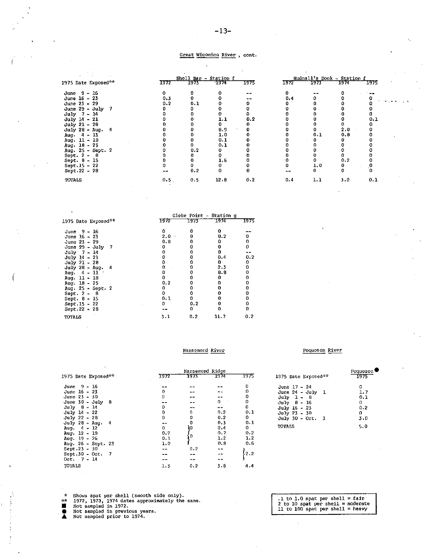#### Great Wicomico River , cont.

| 1975 Date Exposed** | 1772 | $1973 -$ | Shell Bar - Station f<br>1974 | 1975 | <u> 1972 </u> | 1973 | Hudnall's Dock - Station f<br>1974 |  |
|---------------------|------|----------|-------------------------------|------|---------------|------|------------------------------------|--|
|                     |      |          |                               |      |               |      |                                    |  |
| June $9 - 16$       | 0.   |          |                               |      |               |      |                                    |  |
| June 16 - 23        | 0.3  |          |                               |      | 0.4           |      |                                    |  |
| June 23 - 29        | 0.2  | 0.1      |                               |      |               |      |                                    |  |
| June $29 - July 7$  |      |          |                               |      |               |      |                                    |  |
| $July 7 - 14$       |      |          |                               |      |               |      |                                    |  |
| July 14 - 21        |      |          | 1.1                           | 0.2  |               |      |                                    |  |
| $July 21 - 28$      |      |          |                               |      |               |      |                                    |  |
| July 28 - Aug. 4    |      |          | 8.9                           |      |               |      | 2.0                                |  |
| Aug. $4 - 11$       |      |          | 1.0                           |      |               | 0.1  | 0.8                                |  |
| Aug. $11 - 18$      |      |          | 0.1                           |      |               |      |                                    |  |
| Aug. $18 - 25$      |      |          | 0.1                           |      |               |      |                                    |  |
| Aug. 25 - Sept. 2   |      | 0.2      |                               |      |               |      |                                    |  |
| Sept. $2 - 8$       |      |          |                               |      |               |      |                                    |  |
| Sept. $8 - 15$      |      |          | 1.6                           |      |               |      | 0.2                                |  |
| Sept. 15 - 22       |      |          |                               |      |               | 1.0  | 0                                  |  |
| Sept. 22 - 28       |      | 0.2      |                               |      |               |      | 0                                  |  |
| <b>TOTALS</b>       | 0.5  | 0.5      | 12.8                          | 0.2  | 0.4           | 1.1  | 3.0                                |  |
|                     |      |          |                               |      |               |      |                                    |  |

|                     | Glebe Point - Station q |      |      |      |  |  |  |  |
|---------------------|-------------------------|------|------|------|--|--|--|--|
| 1975 Date Exposed** | 1972                    | 1973 | 1974 | 1975 |  |  |  |  |
| June 9 - 16         | o                       |      | 0    |      |  |  |  |  |
| June 16 - 23        | $2.0 -$                 | n    | 0.2  | 0    |  |  |  |  |
| June 23 - 29        | 0. 6                    | 0    | o    | ٥    |  |  |  |  |
| June $29 - July 7$  | o                       |      | 0    | 0    |  |  |  |  |
| $July$ 7 - 14       |                         |      | n    |      |  |  |  |  |
| $July 14 - 21$      |                         |      | 0.4  | 0.2  |  |  |  |  |
| $July 21 - 28$      |                         |      | n.   | 0    |  |  |  |  |
| July 28 - Aug. 4    |                         | Ω    | 2.3  | 0    |  |  |  |  |
| Aug. $4 - 11$       |                         | Ω    | 8.8  | 0    |  |  |  |  |
| Aug. 11 - 18        | Ω                       | o    | n    | 0    |  |  |  |  |
| Aug. $18 - 25$      | 0,2                     | ο    |      |      |  |  |  |  |
| Aug. 25 - Sept. 2   | 0                       | 0    |      |      |  |  |  |  |
| Sept. $2 - 8$       | o                       | 0    |      |      |  |  |  |  |
| Sept. 8 - 15        | 0.1                     | o    |      |      |  |  |  |  |
| Sept. 15 - 22       | o                       | 0.2  |      |      |  |  |  |  |
| Sept 22 ~ 28        |                         | 0    |      | 0    |  |  |  |  |
| TOTALS              | 3.1                     | 0.2  | 11.7 | 0.2  |  |  |  |  |

#### Nansemord River

#### Poquoson River

|                             | Nansemond Ridge |      |      |          |  |  |  |  |
|-----------------------------|-----------------|------|------|----------|--|--|--|--|
| 1975 Date Exposed**         | 1972            | 1973 | 1974 | 1975     |  |  |  |  |
| June 9 – 16                 |                 |      |      | 0        |  |  |  |  |
| June 16 - 23                | 0               |      |      | 0        |  |  |  |  |
| June $23 - 30$              | 0               |      |      | 0        |  |  |  |  |
| June $30 - \text{July}$ $8$ |                 |      | 0    | 0        |  |  |  |  |
| $July 0 - 14$               | 0               |      |      | $\bf{0}$ |  |  |  |  |
| $July 14 - 22$              | 0               | 0    | 0.2  | 0.1      |  |  |  |  |
| July 22 - 28                | 0               | ٥    | 0.2  | 0        |  |  |  |  |
| $July 28 - Aug.$<br>- 4     |                 | 0    | 0.3  | 0.1      |  |  |  |  |
| Aug. $4 - 12$               | 0               | Ì٥   | 0.4  | 0        |  |  |  |  |
| Aug. $12 - 19$              | 0.2             |      | 0.7  | 0.2      |  |  |  |  |
| Aug. $19 - 26$              | 0.1             | ο    | 1.2  | 1.2      |  |  |  |  |
| Aug. 26 - Sept. 23          | 1.0             |      | 0.8  | 0.6      |  |  |  |  |
| Sept.23 - 30                |                 | 0.2  |      |          |  |  |  |  |
| Sept.30 - Oct. 7            |                 |      |      | 2.2      |  |  |  |  |
| $0ct. 7 - 14$               |                 |      |      |          |  |  |  |  |
| TOTALS                      | 1.3             | 0.2  | 3.8  | 4.4      |  |  |  |  |

| 1975 Date Exposed**                                | Poquoson<br>$1975 -$ |
|----------------------------------------------------|----------------------|
| June 17 - 24<br>June $24 - July 1$<br>$July 1 - 8$ | Ω<br>1.7<br>0.1      |
| $July 8 - 16$<br>July 16 - 23                      | 0<br>0.2             |
| July 23 - 30<br>July 30 - Oct.<br>- 3              | o<br>3.0             |
| TOTALS                                             | 5.0                  |

\* Shows spat per shell (smooth side only). \*\* 1972, 1973, 1974 dates approximately the same. • Not sampled in 1972. e Not sampled in previous years . .& Not sampled prior to 1974.

.1 to 1.0 spat per shell = fair 2 to 10 spat per shell= moderate 11 to 100 spat per shell= heavy

 $\pm$ 

| 1972        | 11,001,01,01<br>____<br>1973 | 1974 <del>- Mar</del> | 1975                 |  |
|-------------|------------------------------|-----------------------|----------------------|--|
| 0           |                              | ٥                     |                      |  |
| 0.4         | ٥                            | 0                     | 0                    |  |
| 0           | 0                            | 0<br>ï                | 0                    |  |
|             | 0                            | 0                     | 0                    |  |
|             | 0                            | 0                     | 0                    |  |
| 0<br>0<br>0 | 0                            | 0                     | 0.1                  |  |
|             | 0                            | 0                     | o.                   |  |
|             | 0                            | 2.0                   | 0                    |  |
| 0000000     | 0.1                          | 0.8                   | 0                    |  |
|             | 0                            | 0                     | 0                    |  |
|             | ٥                            | 0                     | 0                    |  |
|             | 0                            | Ò                     | 0                    |  |
|             | 0                            | ٥                     | 0                    |  |
|             | 0                            | 0.2                   | 0                    |  |
| 0           | 1.0                          | 0                     | $\cdot^{\mathbf{0}}$ |  |
|             | 0                            | ٥                     | ٥                    |  |
| 0.4         | 1.1                          | 3.0                   | 0.1                  |  |
|             |                              |                       |                      |  |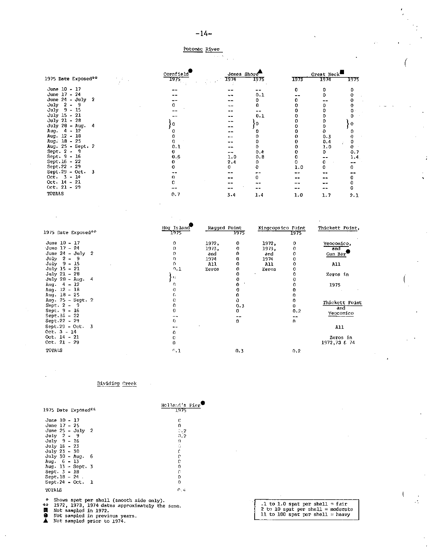#### Potomac River  $\beta \rightarrow \gamma$  .

 $\bar{z} = \bar{z}$ 

|                     | Cornfield |      | Jones Shore |      | Great Neck- |      |  |
|---------------------|-----------|------|-------------|------|-------------|------|--|
| 1975 Date Exposed** | -1975     | 1974 | 1975        | 1973 | 1974        | 1975 |  |
| June 10 - 17        |           |      |             | n    |             |      |  |
| June 17 - 24        |           |      | 0.1         |      |             |      |  |
| June $24 - July 2$  |           |      | n           |      |             |      |  |
| July $2 - 9$        |           |      | n           |      |             |      |  |
| July 9 - 15         |           |      |             |      |             |      |  |
| July 15 - 21        |           |      | 0.1         |      |             |      |  |
| July 21 - 28        |           |      |             |      |             |      |  |
| $July 20 - Aug. 4$  |           |      | 0           |      |             |      |  |
| Aug. 4 - 12         |           |      |             |      |             |      |  |
| Aug. 12 - 18        |           |      |             |      | 0.3         |      |  |
| Aug. 18 - 25        |           |      |             |      | 0.4         |      |  |
| Aug. 25 - Sept. 2   | 0.1       |      |             |      | 1.0         |      |  |
| Sept. $2 - 9$       |           |      | 0.4         |      | 0.          | 0.7  |  |
| Sept. 9 - 16        | 0.6       | 1.0  | 0.8         |      |             | 1.4  |  |
| Sept. 16 - 22       |           | 2.4  | 0           |      |             |      |  |
| Sept.22 - 29        |           | 0.   |             | 1.0  |             |      |  |
| Sept.29 - Oct. $3$  |           |      |             |      |             |      |  |
| $0ct = 3 - 14$      |           |      |             |      |             |      |  |
| $Oct. 14 - 21$      |           |      |             |      |             |      |  |
| $0ct. 21 - 29$      |           |      |             |      |             |      |  |
| <b>TOTALS</b>       | 0.7       | 3.4  | 1.4         | 1.0  | 1.7         | 2.1  |  |

| 1975 Date Exposed**       | Hog Island<br>1975 | Ragged Point | 1975 | Kingcopsico Point | 1975. | Thickett Point, |
|---------------------------|--------------------|--------------|------|-------------------|-------|-----------------|
|                           |                    |              |      |                   |       |                 |
| June 10 - 17              | 0                  | 1972,        | 0    | 1972,             | 0     | Yeocomico,      |
| June 17 - 24              |                    | 1973,        | o    | 1973,             | 0     | and             |
| June $24 - \text{July} 2$ |                    | and          | n    | ənd               | 0     | Gum Bar         |
| $July 2 - 9$              |                    | 1974         | 0    | 1974              | 0     |                 |
| July 9 - 15               |                    | All          | 0    | All               | 0     | All             |
| July 15 - 21              | 0.1                | Zeros        | 0    | Zeros             | 0     |                 |
| July 21 - 28              |                    |              |      |                   |       | Zeros in        |
| July 28 - Aug. 4          | ٠H                 |              |      |                   |       |                 |
| Aug. $4 - 12$             | n                  |              |      |                   |       | 1975            |
| Aug. 12 - 18              |                    |              |      |                   |       |                 |
| Aug. $18 - 25$            |                    |              |      |                   |       |                 |
| Aug. 25 - Sept. 2         |                    |              |      |                   | ŋ.    | Thickett Point  |
| Sept. $2 - 9$             | o                  |              | 0.3  |                   | O.    | and             |
| Sept. 9 - 16              |                    |              | o    |                   | 0.2   | Yeccomico       |
| Sept $16 - 22$            |                    |              |      |                   |       |                 |
| $Sept.22 - 29$            | n.                 |              | n    |                   | n.    |                 |
| Sept $29 - Oct. 3$        |                    |              |      |                   |       | All             |
| $Oct. 3 - 14$             |                    |              |      |                   |       |                 |
| Oct. $14 - 21$            | o                  |              |      |                   |       | Zeros in        |
| Oct. 21 - 29              |                    |              |      |                   |       | 1972,73 € 74    |
| <b>TOTALS</b>             | $^{\circ}$ .1      |              | 0.3  |                   | 0.2   |                 |

#### Dividirg Creek

| 1975 Date Exposed*∵                                   | Holland's Pier<br>1975 |                                   |
|-------------------------------------------------------|------------------------|-----------------------------------|
| June 10 - 17                                          | c                      |                                   |
| June $17 - 25$                                        | n.                     |                                   |
| June $25 -$ July 2                                    | 5.2                    |                                   |
| $July 2 - 9$                                          | 0.2                    |                                   |
| July 9 - 16                                           | U.                     |                                   |
| July 16 - 23                                          | G                      |                                   |
| $July 23 - 30$                                        |                        |                                   |
| July $30 - \text{Aug.} 6$                             |                        |                                   |
| Aug. $6 - 13$                                         |                        |                                   |
| Aug. 13 - Sept. 3                                     |                        |                                   |
| Sept 3 - 10                                           |                        |                                   |
| $Sept.18 - 24.$                                       |                        |                                   |
| $Sept.24 - Oct. 1$                                    |                        |                                   |
| TOTALS                                                | 0,4                    |                                   |
| * Shows spat per shell (smooth side only).            |                        |                                   |
| ÷÷.<br>1972, 1973, 1974 dates approximately the same. |                        | .1 to 1.0 spat per shell = fair   |
| и<br>Not sampled in 1972.                             |                        | 2 to 10 spat per shell = moderate |
| Not sampled in previous years.                        |                        | 11 to 100 spat per shell = heavy  |

 $\mathcal{L}$ 

- 
- ▲ Not sampled prior to 1974.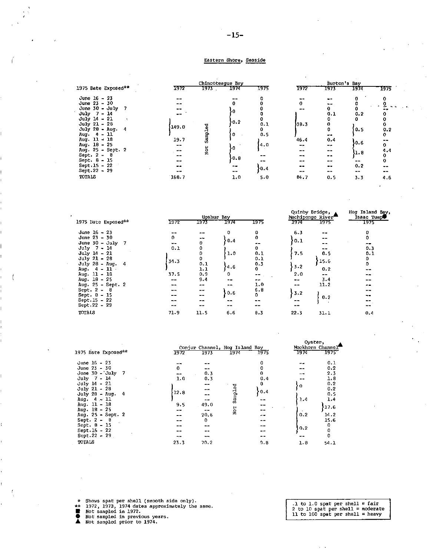#### Eastern Shore, Seaside

|                                                                                                                                                                                                                                                                                                |                                                   | Chincoteague Bay      |                                                  |                                                           |                                                                           | Burton's Bay                                                                                         |                                                                    |                                                                                              |
|------------------------------------------------------------------------------------------------------------------------------------------------------------------------------------------------------------------------------------------------------------------------------------------------|---------------------------------------------------|-----------------------|--------------------------------------------------|-----------------------------------------------------------|---------------------------------------------------------------------------|------------------------------------------------------------------------------------------------------|--------------------------------------------------------------------|----------------------------------------------------------------------------------------------|
| 1975 Date Exposed**                                                                                                                                                                                                                                                                            | 1972                                              | 1973 T                | - 1974                                           | 1975                                                      | 1972                                                                      | 1973                                                                                                 | 1974                                                               | 1975                                                                                         |
| June $16 - 23$<br>June 23 - 30<br>June $30 - \text{July}$<br>$July 7 - 14$<br>$July 14 - 21$<br>July 21 - 28<br>July 28 - Aug. 4<br>Aug 4 - 11<br>Aug. $11 \div 18$<br>Aug. $18 - 25$<br>Aug. 25 - Sept. 2<br>Sept. 2 - 8<br>Sept. $8 - 15$<br>$Sept.15 - 22$<br>Sept.22 - 29<br><b>TOTALS</b> | 149.0<br>19.7<br>--<br>$- -$<br>--<br>--<br>168.7 | Sampled<br><b>Not</b> | 0<br>0.2<br>o<br>١o<br>0.8<br>--<br>$- -$<br>1,0 | 0.1<br>0<br>0.5<br>4.0<br>$\rightarrow$ 100<br>0.4<br>5.0 | --<br>0<br>--<br>38.3<br>46.4<br>--<br>--<br>--<br>--<br>--<br>--<br>84.7 | $- -$<br>$- -$<br>0<br>0.1<br>0<br>0<br>0<br><br>0.4<br>$ \sim$<br>--<br>--<br>--<br>--<br>--<br>0.5 | 0<br>0.2<br>o<br>0.5<br>50.6<br>yr. a<br>--<br>0.2<br>$- -$<br>3.3 | $\mathbf{v}$<br>$\sim$ 10 $\pm$<br>0.2<br>0<br>$\sim$ $-$<br>0<br>4.4<br>0<br>0<br>--<br>4.6 |

|                                                                                                                                                                                                                                                                         |                                                                | Upshur Bay                                                                                            |                                                       |                                                                                                        |                                                           | Quinby Bridge,<br>Nachipongo River                                        | Hog Island Bay,<br>Isaac Tump <sup>o</sup>                                             |
|-------------------------------------------------------------------------------------------------------------------------------------------------------------------------------------------------------------------------------------------------------------------------|----------------------------------------------------------------|-------------------------------------------------------------------------------------------------------|-------------------------------------------------------|--------------------------------------------------------------------------------------------------------|-----------------------------------------------------------|---------------------------------------------------------------------------|----------------------------------------------------------------------------------------|
| 1975 Date Exposed**                                                                                                                                                                                                                                                     | 1972                                                           | 1973                                                                                                  | 1974                                                  | 1975                                                                                                   | 1974                                                      | 1975                                                                      | - 1975                                                                                 |
| June 16 - 23<br>June 23 - 30<br>June $30 - July$ 7<br>$July 7 - 14$<br>July 14 - 21<br>July 21 - 28<br>July $28$ - Aug.<br>-4<br>Aug. $4 - 11$<br>Aug. 11 - 18<br>Aug. $10 - 25$<br>Aug. 25 - Sept. 2<br>Sept. $2 - 8$<br>Sept. 8 - 15<br>Sept. 15 - 22<br>Sept.22 - 29 | $\mathbf{0}$<br>$-$<br>0.1<br>31.3<br>37.5<br>--<br>$\sim$ $-$ | $- -$<br>0<br>٥<br>0<br>0<br>0.1<br>1.1<br>0.9<br>9.4<br>--<br>$- -$<br>$\qquad \qquad -$<br>--<br>-- | 0.4<br>1.0<br>4.6<br>0<br>--<br>--<br>0.6<br>--<br>-- | 0<br>0<br>0<br>0.1<br>0.1<br>0.3<br>$\bf{0}$<br>$\sim$ $-$<br>--<br>1.0<br>6.8<br>0<br>$\sim$<br>$- -$ | 6.3<br>1.ס∤<br>7.5<br>3.2<br>2.0<br>$- -$<br>$-3.2$<br>-- | --<br>$- -$<br>--<br>--<br>0.5<br>15.6<br>0.2<br>--<br>3.4<br>11.2<br>0.2 | 0<br>0<br>--<br>0.3<br>0.1<br>0<br>$\mathbf{O}$<br>--<br>--<br>--<br>--<br>--<br>$- -$ |
| <b>TOTALS</b>                                                                                                                                                                                                                                                           | 71.9                                                           | 11.5                                                                                                  | 6.6                                                   | 0.3                                                                                                    | 22.3                                                      | 31.1                                                                      | 0.4                                                                                    |

|                                |      |      |                                |      | vyster,          |            |
|--------------------------------|------|------|--------------------------------|------|------------------|------------|
|                                |      |      | Conjur Channel, Hog Island Bay |      | Mockhorn Channel |            |
| 1975 Date Exposed**            | 1972 | 1973 | 1974                           | 1975 | 1974             | 1975       |
| June 16 - 23                   |      |      |                                | 0    |                  | 0.1        |
| June $23 - 30$                 | 0    |      |                                |      |                  | 0.2        |
| June $30 -$ July 7             |      | 0.3  |                                | 0    | - 4              | 2.3        |
| $July$ 7 - 14                  | 1.0  | 0.3  |                                | 0.4  |                  | 1.8        |
| July 14 - 21<br>$July 21 - 28$ |      | --   | ъ                              | 0    | ۰0               | 0.2<br>0.2 |
| July 28 - Aug. $4$             | 12.8 |      | <b>Sample</b>                  | 0.4  |                  | 0.5        |
| Aug. $4 - 11$                  |      |      |                                |      | 1.4              | 1.4        |
| Aug. 11 - 18                   | 9.5  | 49.0 |                                |      |                  | 17.6       |
| Aug. $18 - 25$                 | $ -$ | --   | Nor.                           | --   |                  |            |
| Aug. 25 - Sept. 2              | --   | 20.6 |                                | --   | 0.2              | 14.2       |
| Sept. $2 - B$                  |      | 0    |                                |      |                  | 15.6       |
| Sept. 8 - 15                   |      | --   |                                |      |                  | 0          |
| $Sept.15 - 22$                 |      |      |                                |      | 0.2              | O          |
| $Sept.22 - 29$                 |      | ---  |                                |      |                  | 0          |
| <b>TOTALS</b>                  | 23.3 | 70.2 |                                | 9.8  | 1.8              | 54.1       |

- \* Shows spat per shell (smooth side only).<br>★\* 1972, 1973, 1974 dates approximately the same.<br>■ Not sampled in 1972.<br>● Not sampled prior to 1974.
- 

 $\ddot{\phantom{0}}$ 

 $\frac{1}{2}$  to 1.0 spat per shell = fair<br>2 to 10 spat per shell = moderate<br>11 to 100 spat per shell = heavy

 $\sim$   $\sim$   $\sim$   $\sim$